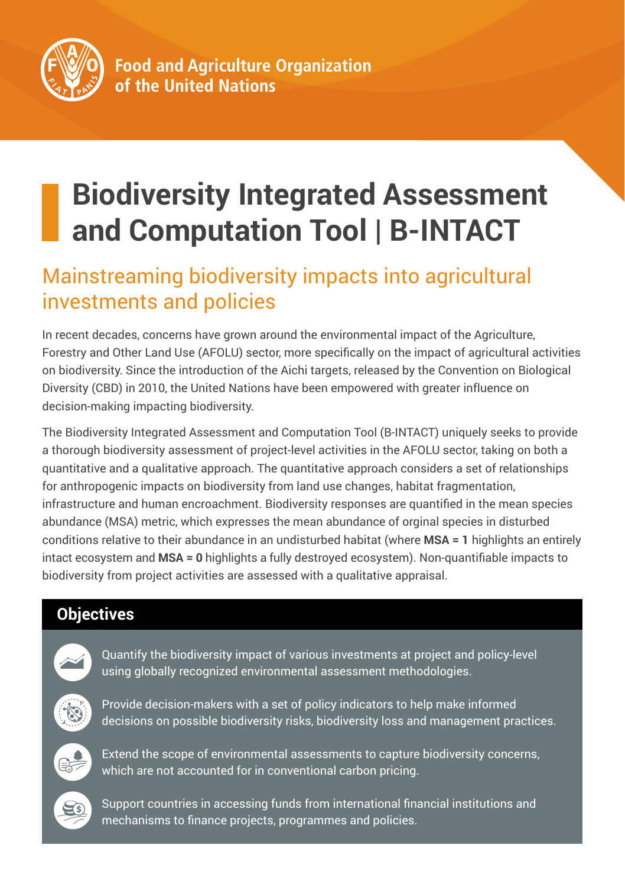

# **Biodiversity Integrated Assessment and Computation Tool | B-INTACT**

## Mainstreaming biodiversity impacts into agricultural investments and policies

In recent decades, concerns have grown around the environmental impact of the Agriculture, Forestry and Other Land Use (AFOLU) sector, more specifically on the impact of agricultural activities on biodiversity. Since the introduction of the Aichi targets, released by the Convention on Biological Diversity (CBD) in 2010, the United Nations have been empowered with greater influence on decision-making impacting biodiversity.

The Biodiversity Integrated Assessment and Computation Tool (B-INTACT) uniquely seeks to provide a thorough biodiversity assessment of project-level activities in the AFOLU sector, taking on both a quantitative and a qualitative approach. The quantitative approach considers a set of relationships for anthropogenic impacts on biodiversity from land use changes, habitat fragmentation, infrastructure and human encroachment. Biodiversity responses are quantified in the mean species abundance (MSA) metric, which expresses the mean abundance of orginal species in disturbed conditions relative to their abundance in an undisturbed habitat (where **MSA = 1** highlights an entirely intact ecosystem and **MSA = 0** highlights a fully destroyed ecosystem). Non-quantifiable impacts to biodiversity from project activities are assessed with a qualitative appraisal.

### **Objectives**



Quantify the biodiversity impact of various investments at project and policy-level using globally recognized environmental assessment methodologies.



Provide decision-makers with a set of policy indicators to help make informed decisions on possible biodiversity risks, biodiversity loss and management practices.



Extend the scope of environmental assessments to capture biodiversity concerns, which are not accounted for in conventional carbon pricing.



Support countries in accessing funds from international financial institutions and mechanisms to finance projects, programmes and policies.